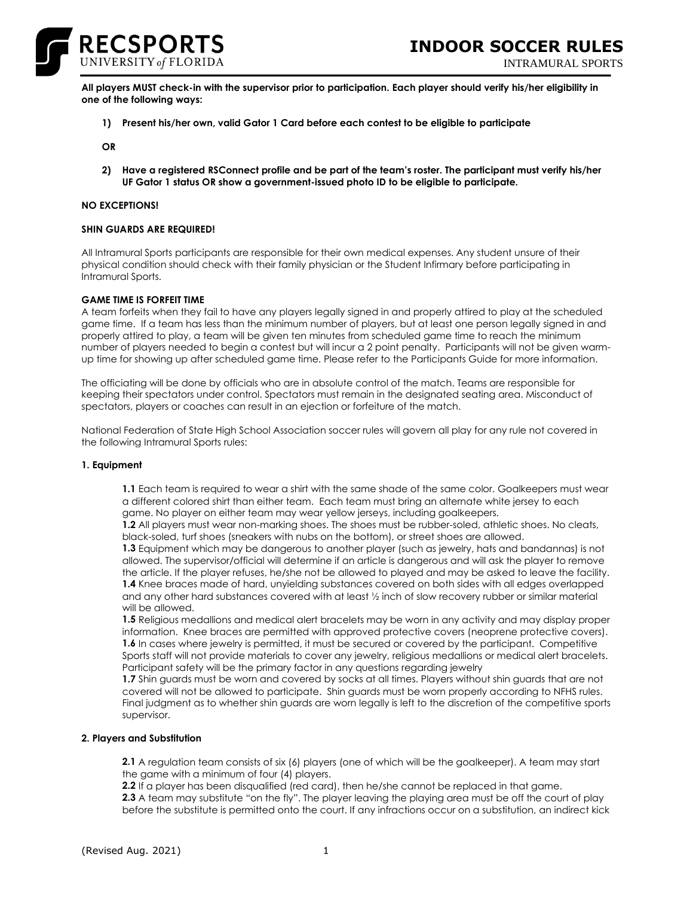

INTRAMURAL SPORTS

**All players MUST check-in with the supervisor prior to participation. Each player should verify his/her eligibility in one of the following ways:**

**1) Present his/her own, valid Gator 1 Card before each contest to be eligible to participate**

**OR**

**2) Have a registered RSConnect profile and be part of the team's roster. The participant must verify his/her UF Gator 1 status OR show a government-issued photo ID to be eligible to participate.**

### **NO EXCEPTIONS!**

### **SHIN GUARDS ARE REQUIRED!**

All Intramural Sports participants are responsible for their own medical expenses. Any student unsure of their physical condition should check with their family physician or the Student Infirmary before participating in Intramural Sports.

## **GAME TIME IS FORFEIT TIME**

A team forfeits when they fail to have any players legally signed in and properly attired to play at the scheduled game time. If a team has less than the minimum number of players, but at least one person legally signed in and properly attired to play, a team will be given ten minutes from scheduled game time to reach the minimum number of players needed to begin a contest but will incur a 2 point penalty. Participants will not be given warmup time for showing up after scheduled game time. Please refer to the Participants Guide for more information.

The officiating will be done by officials who are in absolute control of the match. Teams are responsible for keeping their spectators under control. Spectators must remain in the designated seating area. Misconduct of spectators, players or coaches can result in an ejection or forfeiture of the match.

National Federation of State High School Association soccer rules will govern all play for any rule not covered in the following Intramural Sports rules:

### **1. Equipment**

**1.1** Each team is required to wear a shirt with the same shade of the same color. Goalkeepers must wear a different colored shirt than either team. Each team must bring an alternate white jersey to each game. No player on either team may wear yellow jerseys, including goalkeepers.

**1.2** All players must wear non-marking shoes. The shoes must be rubber-soled, athletic shoes. No cleats, black-soled, turf shoes (sneakers with nubs on the bottom), or street shoes are allowed.

**1.3** Equipment which may be dangerous to another player (such as jewelry, hats and bandannas) is not allowed. The supervisor/official will determine if an article is dangerous and will ask the player to remove the article. If the player refuses, he/she not be allowed to played and may be asked to leave the facility. **1.4** Knee braces made of hard, unyielding substances covered on both sides with all edges overlapped and any other hard substances covered with at least ½ inch of slow recovery rubber or similar material will be allowed.

**1.5** Religious medallions and medical alert bracelets may be worn in any activity and may display proper information. Knee braces are permitted with approved protective covers (neoprene protective covers). **1.6** In cases where jewelry is permitted, it must be secured or covered by the participant. Competitive Sports staff will not provide materials to cover any jewelry, religious medallions or medical alert bracelets. Participant safety will be the primary factor in any questions regarding jewelry

**1.7** Shin guards must be worn and covered by socks at all times. Players without shin guards that are not covered will not be allowed to participate. Shin guards must be worn properly according to NFHS rules. Final judgment as to whether shin guards are worn legally is left to the discretion of the competitive sports supervisor.

### **2. Players and Substitution**

**2.1** A regulation team consists of six (6) players (one of which will be the goalkeeper). A team may start the game with a minimum of four (4) players.

**2.2** If a player has been disqualified (red card), then he/she cannot be replaced in that game.

**2.3** A team may substitute "on the fly". The player leaving the playing area must be off the court of play before the substitute is permitted onto the court. If any infractions occur on a substitution, an indirect kick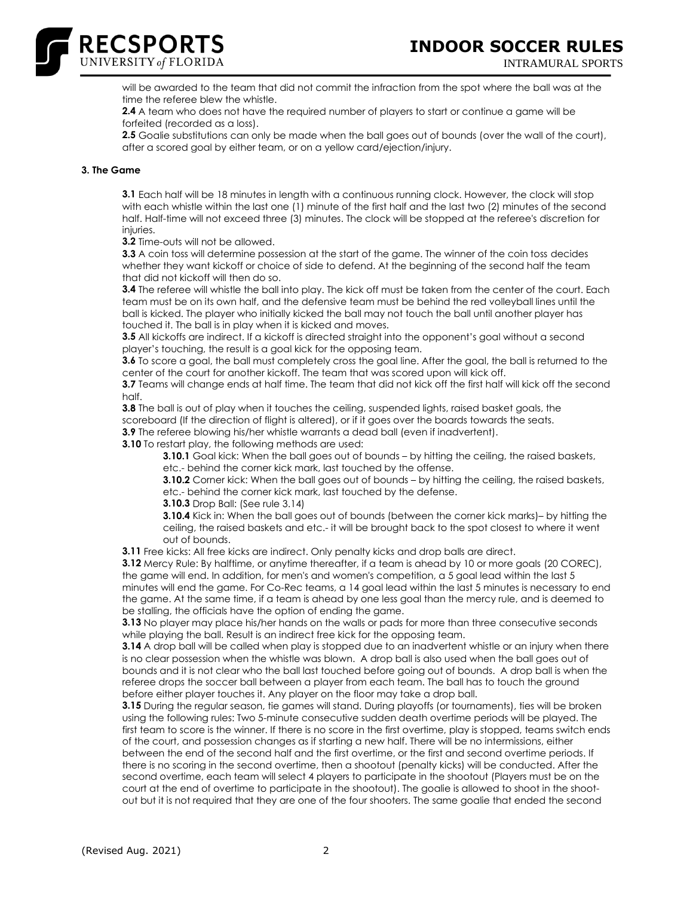





will be awarded to the team that did not commit the infraction from the spot where the ball was at the time the referee blew the whistle.

**2.4** A team who does not have the required number of players to start or continue a game will be forfeited (recorded as a loss).

**2.5** Goalie substitutions can only be made when the ball goes out of bounds (over the wall of the court), after a scored goal by either team, or on a yellow card/ejection/injury.

## **3. The Game**

**3.1** Each half will be 18 minutes in length with a continuous running clock. However, the clock will stop with each whistle within the last one (1) minute of the first half and the last two (2) minutes of the second half. Half-time will not exceed three (3) minutes. The clock will be stopped at the referee's discretion for injuries.

**3.2** Time-outs will not be allowed.

**3.3** A coin toss will determine possession at the start of the game. The winner of the coin toss decides whether they want kickoff or choice of side to defend. At the beginning of the second half the team that did not kickoff will then do so.

**3.4** The referee will whistle the ball into play. The kick off must be taken from the center of the court. Each team must be on its own half, and the defensive team must be behind the red volleyball lines until the ball is kicked. The player who initially kicked the ball may not touch the ball until another player has touched it. The ball is in play when it is kicked and moves.

**3.5** All kickoffs are indirect. If a kickoff is directed straight into the opponent's goal without a second player's touching, the result is a goal kick for the opposing team.

**3.6** To score a goal, the ball must completely cross the goal line. After the goal, the ball is returned to the center of the court for another kickoff. The team that was scored upon will kick off.

**3.7** Teams will change ends at half time. The team that did not kick off the first half will kick off the second half.

**3.8** The ball is out of play when it touches the ceiling, suspended lights, raised basket goals, the scoreboard (If the direction of flight is altered), or if it goes over the boards towards the seats.

**3.9** The referee blowing his/her whistle warrants a dead ball (even if inadvertent).

**3.10** To restart play, the following methods are used:

**3.10.1** Goal kick: When the ball goes out of bounds – by hitting the ceiling, the raised baskets, etc.- behind the corner kick mark, last touched by the offense.

**3.10.2** Corner kick: When the ball goes out of bounds – by hitting the ceiling, the raised baskets, etc.- behind the corner kick mark, last touched by the defense.

**3.10.3** Drop Ball: (See rule 3.14)

**3.10.4** Kick in: When the ball goes out of bounds (between the corner kick marks)– by hitting the ceiling, the raised baskets and etc.- it will be brought back to the spot closest to where it went out of bounds.

**3.11** Free kicks: All free kicks are indirect. Only penalty kicks and drop balls are direct.

**3.12** Mercy Rule: By halftime, or anytime thereafter, if a team is ahead by 10 or more goals (20 COREC), the game will end. In addition, for men's and women's competition, a 5 goal lead within the last 5 minutes will end the game. For Co-Rec teams, a 14 goal lead within the last 5 minutes is necessary to end the game. At the same time, if a team is ahead by one less goal than the mercy rule, and is deemed to be stalling, the officials have the option of ending the game.

**3.13** No player may place his/her hands on the walls or pads for more than three consecutive seconds while playing the ball. Result is an indirect free kick for the opposing team.

**3.14** A drop ball will be called when play is stopped due to an inadvertent whistle or an injury when there is no clear possession when the whistle was blown. A drop ball is also used when the ball goes out of bounds and it is not clear who the ball last touched before going out of bounds. A drop ball is when the referee drops the soccer ball between a player from each team. The ball has to touch the ground before either player touches it. Any player on the floor may take a drop ball.

**3.15** During the regular season, tie games will stand. During playoffs (or tournaments), ties will be broken using the following rules: Two 5-minute consecutive sudden death overtime periods will be played. The first team to score is the winner. If there is no score in the first overtime, play is stopped, teams switch ends of the court, and possession changes as if starting a new half. There will be no intermissions, either between the end of the second half and the first overtime, or the first and second overtime periods. If there is no scoring in the second overtime, then a shootout (penalty kicks) will be conducted. After the second overtime, each team will select 4 players to participate in the shootout (Players must be on the court at the end of overtime to participate in the shootout). The goalie is allowed to shoot in the shootout but it is not required that they are one of the four shooters. The same goalie that ended the second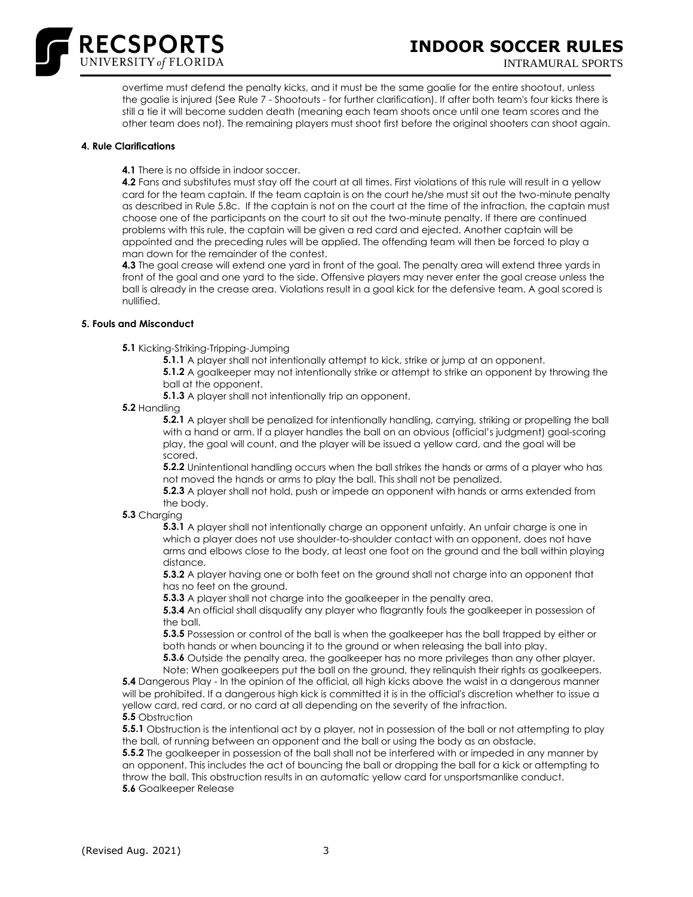

overtime must defend the penalty kicks, and it must be the same goalie for the entire shootout, unless the goalie is injured (See Rule 7 - Shootouts - for further clarification). If after both team's four kicks there is still a tie it will become sudden death (meaning each team shoots once until one team scores and the other team does not). The remaining players must shoot first before the original shooters can shoot again.

## **4. Rule Clarifications**

**4.1** There is no offside in indoor soccer.

**4.2** Fans and substitutes must stay off the court at all times. First violations of this rule will result in a yellow card for the team captain. If the team captain is on the court he/she must sit out the two-minute penalty as described in Rule 5.8c. If the captain is not on the court at the time of the infraction, the captain must choose one of the participants on the court to sit out the two-minute penalty. If there are continued problems with this rule, the captain will be given a red card and ejected. Another captain will be appointed and the preceding rules will be applied. The offending team will then be forced to play a man down for the remainder of the contest.

**4.3** The goal crease will extend one yard in front of the goal. The penalty area will extend three yards in front of the goal and one yard to the side. Offensive players may never enter the goal crease unless the ball is already in the crease area. Violations result in a goal kick for the defensive team. A goal scored is nullified.

# **5. Fouls and Misconduct**

**5.1** Kicking-Striking-Tripping-Jumping

**5.1.1** A player shall not intentionally attempt to kick, strike or jump at an opponent.

**5.1.2** A goalkeeper may not intentionally strike or attempt to strike an opponent by throwing the ball at the opponent.

**5.1.3** A player shall not intentionally trip an opponent.

**5.2** Handling

**5.2.1** A player shall be penalized for intentionally handling, carrying, striking or propelling the ball with a hand or arm. If a player handles the ball on an obvious (official's judgment) goal-scoring play, the goal will count, and the player will be issued a yellow card, and the goal will be scored.

**5.2.2** Unintentional handling occurs when the ball strikes the hands or arms of a player who has not moved the hands or arms to play the ball. This shall not be penalized.

**5.2.3** A player shall not hold, push or impede an opponent with hands or arms extended from the body.

# **5.3** Charging

**5.3.1** A player shall not intentionally charge an opponent unfairly. An unfair charge is one in which a player does not use shoulder-to-shoulder contact with an opponent, does not have arms and elbows close to the body, at least one foot on the ground and the ball within playing distance.

**5.3.2** A player having one or both feet on the ground shall not charge into an opponent that has no feet on the ground.

**5.3.3** A player shall not charge into the goalkeeper in the penalty area.

**5.3.4** An official shall disqualify any player who flagrantly fouls the goalkeeper in possession of the ball.

**5.3.5** Possession or control of the ball is when the goalkeeper has the ball trapped by either or both hands or when bouncing it to the ground or when releasing the ball into play.

**5.3.6** Outside the penalty area, the goalkeeper has no more privileges than any other player.

Note: When goalkeepers put the ball on the ground, they relinquish their rights as goalkeepers. **5.4** Dangerous Play - In the opinion of the official, all high kicks above the waist in a dangerous manner will be prohibited. If a dangerous high kick is committed it is in the official's discretion whether to issue a yellow card, red card, or no card at all depending on the severity of the infraction.

**5.5** Obstruction

**5.5.1** Obstruction is the intentional act by a player, not in possession of the ball or not attempting to play the ball, of running between an opponent and the ball or using the body as an obstacle.

**5.5.2** The goalkeeper in possession of the ball shall not be interfered with or impeded in any manner by an opponent. This includes the act of bouncing the ball or dropping the ball for a kick or attempting to throw the ball. This obstruction results in an automatic yellow card for unsportsmanlike conduct. **5.6** Goalkeeper Release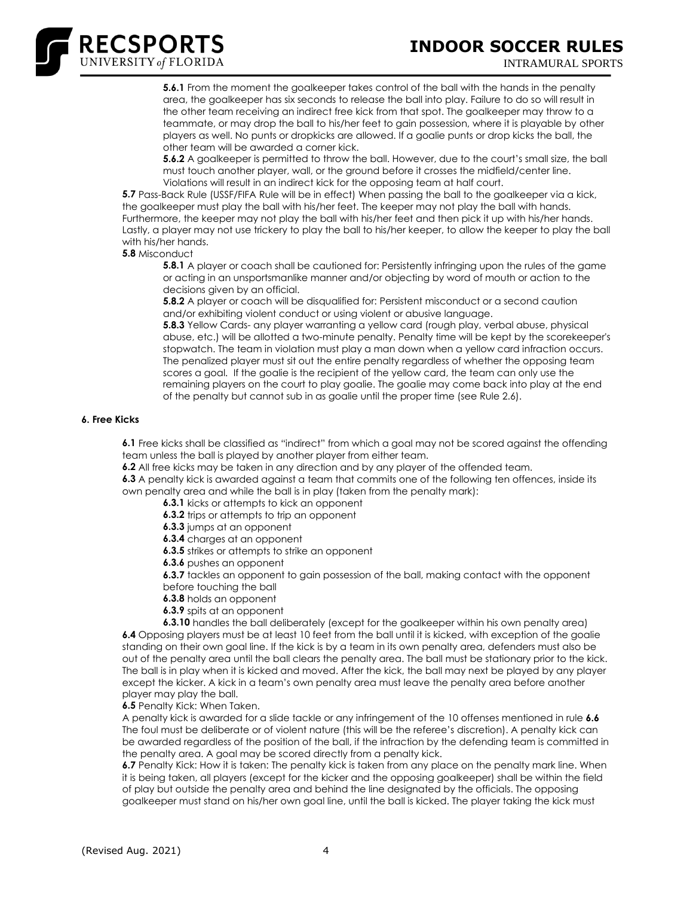

**5.6.1** From the moment the goalkeeper takes control of the ball with the hands in the penalty area, the goalkeeper has six seconds to release the ball into play. Failure to do so will result in the other team receiving an indirect free kick from that spot. The goalkeeper may throw to a teammate, or may drop the ball to his/her feet to gain possession, where it is playable by other players as well. No punts or dropkicks are allowed. If a goalie punts or drop kicks the ball, the other team will be awarded a corner kick.

**5.6.2** A goalkeeper is permitted to throw the ball. However, due to the court's small size, the ball must touch another player, wall, or the ground before it crosses the midfield/center line. Violations will result in an indirect kick for the opposing team at half court.

**5.7** Pass-Back Rule (USSF/FIFA Rule will be in effect) When passing the ball to the goalkeeper via a kick, the goalkeeper must play the ball with his/her feet. The keeper may not play the ball with hands. Furthermore, the keeper may not play the ball with his/her feet and then pick it up with his/her hands. Lastly, a player may not use trickery to play the ball to his/her keeper, to allow the keeper to play the ball with his/her hands.

**5.8** Misconduct

**5.8.1** A player or coach shall be cautioned for: Persistently infringing upon the rules of the game or acting in an unsportsmanlike manner and/or objecting by word of mouth or action to the decisions given by an official.

**5.8.2** A player or coach will be disqualified for: Persistent misconduct or a second caution and/or exhibiting violent conduct or using violent or abusive language.

**5.8.3** Yellow Cards- any player warranting a yellow card (rough play, verbal abuse, physical abuse, etc.) will be allotted a two-minute penalty. Penalty time will be kept by the scorekeeper's stopwatch. The team in violation must play a man down when a yellow card infraction occurs. The penalized player must sit out the entire penalty regardless of whether the opposing team scores a goal. If the goalie is the recipient of the yellow card, the team can only use the remaining players on the court to play goalie. The goalie may come back into play at the end of the penalty but cannot sub in as goalie until the proper time (see Rule 2.6).

## **6. Free Kicks**

**6.1** Free kicks shall be classified as "indirect" from which a goal may not be scored against the offending team unless the ball is played by another player from either team.

**6.2** All free kicks may be taken in any direction and by any player of the offended team.

**6.3** A penalty kick is awarded against a team that commits one of the following ten offences, inside its own penalty area and while the ball is in play (taken from the penalty mark):

**6.3.1** kicks or attempts to kick an opponent

**6.3.2** trips or attempts to trip an opponent

**6.3.3** jumps at an opponent

**6.3.4** charges at an opponent

**6.3.5** strikes or attempts to strike an opponent

**6.3.6** pushes an opponent

**6.3.7** tackles an opponent to gain possession of the ball, making contact with the opponent before touching the ball

**6.3.8** holds an opponent

**6.3.9** spits at an opponent

**6.3.10** handles the ball deliberately (except for the goalkeeper within his own penalty area) **6.4** Opposing players must be at least 10 feet from the ball until it is kicked, with exception of the goalie standing on their own goal line. If the kick is by a team in its own penalty area, defenders must also be out of the penalty area until the ball clears the penalty area. The ball must be stationary prior to the kick. The ball is in play when it is kicked and moved. After the kick, the ball may next be played by any player except the kicker. A kick in a team's own penalty area must leave the penalty area before another player may play the ball.

**6.5** Penalty Kick: When Taken.

A penalty kick is awarded for a slide tackle or any infringement of the 10 offenses mentioned in rule **6.6** The foul must be deliberate or of violent nature (this will be the referee's discretion). A penalty kick can be awarded regardless of the position of the ball, if the infraction by the defending team is committed in the penalty area. A goal may be scored directly from a penalty kick.

**6.7** Penalty Kick: How it is taken: The penalty kick is taken from any place on the penalty mark line. When it is being taken, all players (except for the kicker and the opposing goalkeeper) shall be within the field of play but outside the penalty area and behind the line designated by the officials. The opposing goalkeeper must stand on his/her own goal line, until the ball is kicked. The player taking the kick must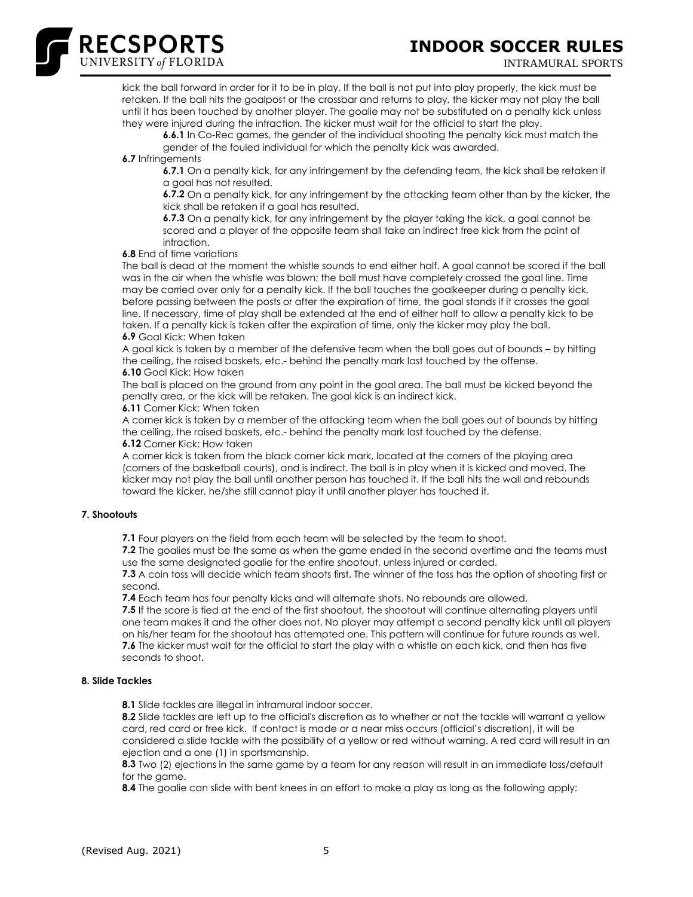

kick the ball forward in order for it to be in play. If the ball is not put into play properly, the kick must be retaken. If the ball hits the goalpost or the crossbar and returns to play, the kicker may not play the ball until it has been touched by another player. The goalie may not be substituted on a penalty kick unless they were injured during the infraction. The kicker must wait for the official to start the play.

**6.6.1** In Co-Rec games, the gender of the individual shooting the penalty kick must match the gender of the fouled individual for which the penalty kick was awarded.

**6.7** Infringements

RECSPORTS

**6.7.1** On a penalty kick, for any infringement by the defending team, the kick shall be retaken if a goal has not resulted.

**6.7.2** On a penalty kick, for any infringement by the attacking team other than by the kicker, the kick shall be retaken if a goal has resulted.

**6.7.3** On a penalty kick, for any infringement by the player taking the kick, a goal cannot be scored and a player of the opposite team shall take an indirect free kick from the point of infraction.

**6.8** End of time variations

The ball is dead at the moment the whistle sounds to end either half. A goal cannot be scored if the ball was in the air when the whistle was blown; the ball must have completely crossed the goal line. Time may be carried over only for a penalty kick. If the ball touches the goalkeeper during a penalty kick, before passing between the posts or after the expiration of time, the goal stands if it crosses the goal line. If necessary, time of play shall be extended at the end of either half to allow a penalty kick to be taken. If a penalty kick is taken after the expiration of time, only the kicker may play the ball. **6.9** Goal Kick: When taken

A goal kick is taken by a member of the defensive team when the ball goes out of bounds – by hitting the ceiling, the raised baskets, etc.- behind the penalty mark last touched by the offense. **6.10** Goal Kick: How taken

The ball is placed on the ground from any point in the goal area. The ball must be kicked beyond the penalty area, or the kick will be retaken. The goal kick is an indirect kick.

**6.11** Corner Kick: When taken

A corner kick is taken by a member of the attacking team when the ball goes out of bounds by hitting the ceiling, the raised baskets, etc.- behind the penalty mark last touched by the defense. **6.12** Corner Kick: How taken

A corner kick is taken from the black corner kick mark, located at the corners of the playing area (corners of the basketball courts), and is indirect. The ball is in play when it is kicked and moved. The kicker may not play the ball until another person has touched it. If the ball hits the wall and rebounds toward the kicker, he/she still cannot play it until another player has touched it.

# **7. Shootouts**

**7.1** Four players on the field from each team will be selected by the team to shoot.

**7.2** The goalies must be the same as when the game ended in the second overtime and the teams must use the same designated goalie for the entire shootout, unless injured or carded.

**7.3** A coin toss will decide which team shoots first. The winner of the toss has the option of shooting first or second.

**7.4** Each team has four penalty kicks and will alternate shots. No rebounds are allowed.

**7.5** If the score is tied at the end of the first shootout, the shootout will continue alternating players until one team makes it and the other does not. No player may attempt a second penalty kick until all players on his/her team for the shootout has attempted one. This pattern will continue for future rounds as well. **7.6** The kicker must wait for the official to start the play with a whistle on each kick, and then has five seconds to shoot.

# **8. Slide Tackles**

**8.1** Slide tackles are illegal in intramural indoor soccer.

**8.2** Slide tackles are left up to the official's discretion as to whether or not the tackle will warrant a yellow card, red card or free kick. If contact is made or a near miss occurs (official's discretion), it will be considered a slide tackle with the possibility of a yellow or red without warning. A red card will result in an ejection and a one (1) in sportsmanship.

**8.3** Two (2) ejections in the same game by a team for any reason will result in an immediate loss/default for the game.

**8.4** The goalie can slide with bent knees in an effort to make a play as long as the following apply: